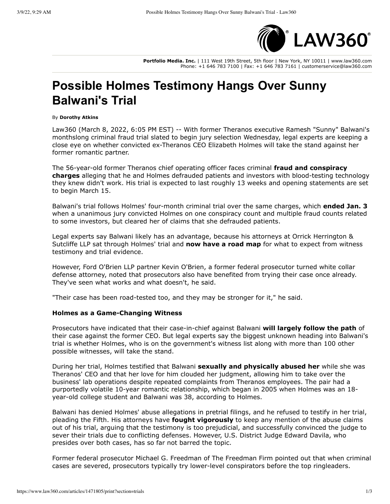

**Portfolio Media. Inc.** | 111 West 19th Street, 5th floor | New York, NY 10011 | www.law360.com Phone: +1 646 783 7100 | Fax: +1 646 783 7161 | customerservice@law360.com

## **Possible Holmes Testimony Hangs Over Sunny Balwani's Trial**

## By **Dorothy Atkins**

Law360 (March 8, 2022, 6:05 PM EST) -- With former Theranos executive Ramesh "Sunny" Balwani's monthslong criminal fraud trial slated to begin jury selection Wednesday, legal experts are keeping a close eye on whether convicted ex-Theranos CEO Elizabeth Holmes will take the stand against her former romantic partner.

The 56-year-old former Theranos chief operating officer faces criminal **fraud and conspiracy** charges alleging that he and Holmes defrauded patients and investors with blood-testing technology they knew didn't work. His trial is expected to last roughly 13 weeks and opening statements are set to begin March 15.

Balwani's trial follows Holmes' four-month criminal trial over the same charges, which **ended Jan. 3** when a unanimous jury convicted Holmes on one conspiracy count and multiple fraud counts related to some investors, but cleared her of claims that she defrauded patients.

Legal experts say Balwani likely has an advantage, because his attorneys at Orrick Herrington & Sutcliffe LLP sat through Holmes' trial and now have a road map for what to expect from witness testimony and trial evidence.

However, Ford O'Brien LLP partner Kevin O'Brien, a former federal prosecutor turned white collar defense attorney, noted that prosecutors also have benefited from trying their case once already. They've seen what works and what doesn't, he said.

"Their case has been road-tested too, and they may be stronger for it," he said.

## **Holmes as a Game-Changing Witness**

Prosecutors have indicated that their case-in-chief against Balwani will largely follow the path of their case against the former CEO. But legal experts say the biggest unknown heading into Balwani's trial is whether Holmes, who is on the government's witness list along with more than 100 other possible witnesses, will take the stand.

During her trial, Holmes testified that Balwani sexually and physically abused her while she was Theranos' CEO and that her love for him clouded her judgment, allowing him to take over the business' lab operations despite repeated complaints from Theranos employees. The pair had a purportedly volatile 10-year romantic relationship, which began in 2005 when Holmes was an 18year-old college student and Balwani was 38, according to Holmes.

Balwani has denied Holmes' abuse allegations in pretrial filings, and he refused to testify in her trial, pleading the Fifth. His attorneys have **fought vigorously** to keep any mention of the abuse claims out of his trial, arguing that the testimony is too prejudicial, and successfully convinced the judge to sever their trials due to conflicting defenses. However, U.S. District Judge Edward Davila, who presides over both cases, has so far not barred the topic.

Former federal prosecutor Michael G. Freedman of The Freedman Firm pointed out that when criminal cases are severed, prosecutors typically try lower-level conspirators before the top ringleaders.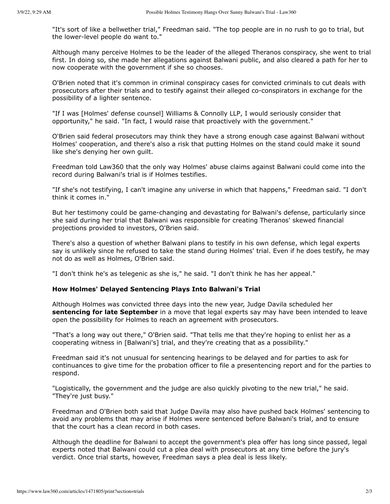"It's sort of like a bellwether trial," Freedman said. "The top people are in no rush to go to trial, but the lower-level people do want to."

Although many perceive Holmes to be the leader of the alleged Theranos conspiracy, she went to trial first. In doing so, she made her allegations against Balwani public, and also cleared a path for her to now cooperate with the government if she so chooses.

O'Brien noted that it's common in criminal conspiracy cases for convicted criminals to cut deals with prosecutors after their trials and to testify against their alleged co-conspirators in exchange for the possibility of a lighter sentence.

"If I was [Holmes' defense counsel] Williams & Connolly LLP, I would seriously consider that opportunity," he said. "In fact, I would raise that proactively with the government."

O'Brien said federal prosecutors may think they have a strong enough case against Balwani without Holmes' cooperation, and there's also a risk that putting Holmes on the stand could make it sound like she's denying her own quilt.

Freedman told Law360 that the only way Holmes' abuse claims against Balwani could come into the record during Balwani's trial is if Holmes testifies.

"If she's not testifying, I can't imagine any universe in which that happens," Freedman said. "I don't think it comes in."

But her testimony could be game-changing and devastating for Balwani's defense, particularly since she said during her trial that Balwani was responsible for creating Theranos' skewed financial projections provided to investors, O'Brien said.

There's also a question of whether Balwani plans to testify in his own defense, which legal experts say is unlikely since he refused to take the stand during Holmes' trial. Even if he does testify, he may not do as well as Holmes, O'Brien said.

"I don't think he's as telegenic as she is," he said. "I don't think he has her appeal."

## How Holmes' Delayed Sentencing Plays Into Balwani's Trial

Although Holmes was convicted three days into the new year, Judge Davila scheduled her **sentencing for late September** in a move that legal experts say may have been intended to leave open the possibility for Holmes to reach an agreement with prosecutors.

"That's a long way out there," O'Brien said. "That tells me that they're hoping to enlist her as a cooperating witness in [Balwani's] trial, and they're creating that as a possibility."

Freedman said it's not unusual for sentencing hearings to be delayed and for parties to ask for continuances to give time for the probation officer to file a presentencing report and for the parties to respond.

"Logistically, the government and the judge are also quickly pivoting to the new trial," he said. "They're just busy."

Freedman and O'Brien both said that Judge Davila may also have pushed back Holmes' sentencing to avoid any problems that may arise if Holmes were sentenced before Balwani's trial, and to ensure that the court has a clean record in both cases.

Although the deadline for Balwani to accept the government's plea offer has long since passed, legal experts noted that Balwani could cut a plea deal with prosecutors at any time before the jury's verdict. Once trial starts, however, Freedman says a plea deal is less likely.